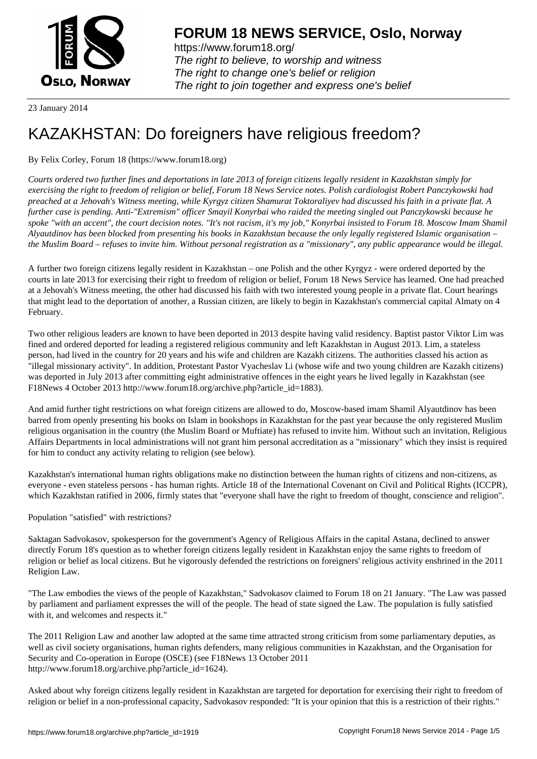

https://www.forum18.org/ The right to believe, to worship and witness The right to change one's belief or religion [The right to join together a](https://www.forum18.org/)nd express one's belief

23 January 2014

# [KAZAKHSTAN:](https://www.forum18.org) Do foreigners have religious freedom?

## By Felix Corley, Forum 18 (https://www.forum18.org)

*Courts ordered two further fines and deportations in late 2013 of foreign citizens legally resident in Kazakhstan simply for exercising the right to freedom of religion or belief, Forum 18 News Service notes. Polish cardiologist Robert Panczykowski had preached at a Jehovah's Witness meeting, while Kyrgyz citizen Shamurat Toktoraliyev had discussed his faith in a private flat. A further case is pending. Anti-"Extremism" officer Smayil Konyrbai who raided the meeting singled out Panczykowski because he spoke "with an accent", the court decision notes. "It's not racism, it's my job," Konyrbai insisted to Forum 18. Moscow Imam Shamil Alyautdinov has been blocked from presenting his books in Kazakhstan because the only legally registered Islamic organisation – the Muslim Board – refuses to invite him. Without personal registration as a "missionary", any public appearance would be illegal.*

A further two foreign citizens legally resident in Kazakhstan – one Polish and the other Kyrgyz - were ordered deported by the courts in late 2013 for exercising their right to freedom of religion or belief, Forum 18 News Service has learned. One had preached at a Jehovah's Witness meeting, the other had discussed his faith with two interested young people in a private flat. Court hearings that might lead to the deportation of another, a Russian citizen, are likely to begin in Kazakhstan's commercial capital Almaty on 4 February.

Two other religious leaders are known to have been deported in 2013 despite having valid residency. Baptist pastor Viktor Lim was fined and ordered deported for leading a registered religious community and left Kazakhstan in August 2013. Lim, a stateless person, had lived in the country for 20 years and his wife and children are Kazakh citizens. The authorities classed his action as "illegal missionary activity". In addition, Protestant Pastor Vyacheslav Li (whose wife and two young children are Kazakh citizens) was deported in July 2013 after committing eight administrative offences in the eight years he lived legally in Kazakhstan (see F18News 4 October 2013 http://www.forum18.org/archive.php?article\_id=1883).

And amid further tight restrictions on what foreign citizens are allowed to do, Moscow-based imam Shamil Alyautdinov has been barred from openly presenting his books on Islam in bookshops in Kazakhstan for the past year because the only registered Muslim religious organisation in the country (the Muslim Board or Muftiate) has refused to invite him. Without such an invitation, Religious Affairs Departments in local administrations will not grant him personal accreditation as a "missionary" which they insist is required for him to conduct any activity relating to religion (see below).

Kazakhstan's international human rights obligations make no distinction between the human rights of citizens and non-citizens, as everyone - even stateless persons - has human rights. Article 18 of the International Covenant on Civil and Political Rights (ICCPR), which Kazakhstan ratified in 2006, firmly states that "everyone shall have the right to freedom of thought, conscience and religion".

Population "satisfied" with restrictions?

Saktagan Sadvokasov, spokesperson for the government's Agency of Religious Affairs in the capital Astana, declined to answer directly Forum 18's question as to whether foreign citizens legally resident in Kazakhstan enjoy the same rights to freedom of religion or belief as local citizens. But he vigorously defended the restrictions on foreigners' religious activity enshrined in the 2011 Religion Law.

"The Law embodies the views of the people of Kazakhstan," Sadvokasov claimed to Forum 18 on 21 January. "The Law was passed by parliament and parliament expresses the will of the people. The head of state signed the Law. The population is fully satisfied with it, and welcomes and respects it."

The 2011 Religion Law and another law adopted at the same time attracted strong criticism from some parliamentary deputies, as well as civil society organisations, human rights defenders, many religious communities in Kazakhstan, and the Organisation for Security and Co-operation in Europe (OSCE) (see F18News 13 October 2011 http://www.forum18.org/archive.php?article\_id=1624).

Asked about why foreign citizens legally resident in Kazakhstan are targeted for deportation for exercising their right to freedom of religion or belief in a non-professional capacity, Sadvokasov responded: "It is your opinion that this is a restriction of their rights."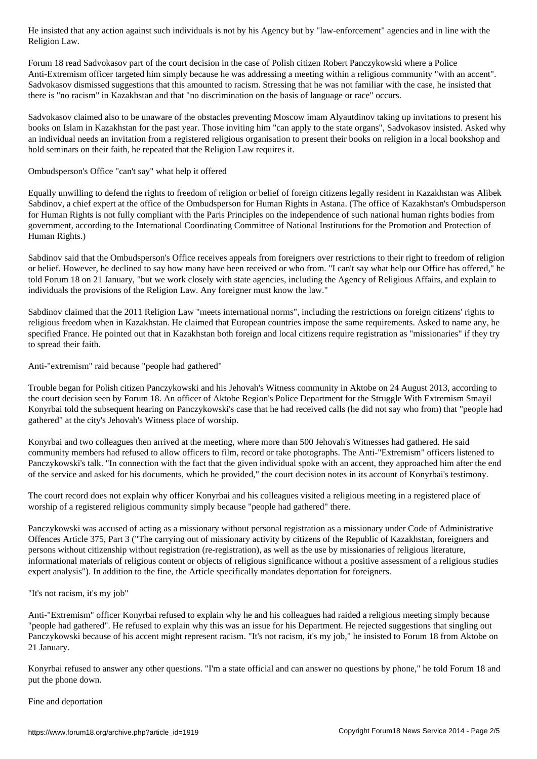Forum 18 read Sadvokasov part of the court decision in the case of Polish citizen Robert Panczykowski where a Police Anti-Extremism officer targeted him simply because he was addressing a meeting within a religious community "with an accent". Sadvokasov dismissed suggestions that this amounted to racism. Stressing that he was not familiar with the case, he insisted that there is "no racism" in Kazakhstan and that "no discrimination on the basis of language or race" occurs.

Sadvokasov claimed also to be unaware of the obstacles preventing Moscow imam Alyautdinov taking up invitations to present his books on Islam in Kazakhstan for the past year. Those inviting him "can apply to the state organs", Sadvokasov insisted. Asked why an individual needs an invitation from a registered religious organisation to present their books on religion in a local bookshop and hold seminars on their faith, he repeated that the Religion Law requires it.

### Ombudsperson's Office "can't say" what help it offered

Religion Law.

Equally unwilling to defend the rights to freedom of religion or belief of foreign citizens legally resident in Kazakhstan was Alibek Sabdinov, a chief expert at the office of the Ombudsperson for Human Rights in Astana. (The office of Kazakhstan's Ombudsperson for Human Rights is not fully compliant with the Paris Principles on the independence of such national human rights bodies from government, according to the International Coordinating Committee of National Institutions for the Promotion and Protection of Human Rights.)

Sabdinov said that the Ombudsperson's Office receives appeals from foreigners over restrictions to their right to freedom of religion or belief. However, he declined to say how many have been received or who from. "I can't say what help our Office has offered," he told Forum 18 on 21 January, "but we work closely with state agencies, including the Agency of Religious Affairs, and explain to individuals the provisions of the Religion Law. Any foreigner must know the law."

Sabdinov claimed that the 2011 Religion Law "meets international norms", including the restrictions on foreign citizens' rights to religious freedom when in Kazakhstan. He claimed that European countries impose the same requirements. Asked to name any, he specified France. He pointed out that in Kazakhstan both foreign and local citizens require registration as "missionaries" if they try to spread their faith.

Anti-"extremism" raid because "people had gathered"

Trouble began for Polish citizen Panczykowski and his Jehovah's Witness community in Aktobe on 24 August 2013, according to the court decision seen by Forum 18. An officer of Aktobe Region's Police Department for the Struggle With Extremism Smayil Konyrbai told the subsequent hearing on Panczykowski's case that he had received calls (he did not say who from) that "people had gathered" at the city's Jehovah's Witness place of worship.

Konyrbai and two colleagues then arrived at the meeting, where more than 500 Jehovah's Witnesses had gathered. He said community members had refused to allow officers to film, record or take photographs. The Anti-"Extremism" officers listened to Panczykowski's talk. "In connection with the fact that the given individual spoke with an accent, they approached him after the end of the service and asked for his documents, which he provided," the court decision notes in its account of Konyrbai's testimony.

The court record does not explain why officer Konyrbai and his colleagues visited a religious meeting in a registered place of worship of a registered religious community simply because "people had gathered" there.

Panczykowski was accused of acting as a missionary without personal registration as a missionary under Code of Administrative Offences Article 375, Part 3 ("The carrying out of missionary activity by citizens of the Republic of Kazakhstan, foreigners and persons without citizenship without registration (re-registration), as well as the use by missionaries of religious literature, informational materials of religious content or objects of religious significance without a positive assessment of a religious studies expert analysis"). In addition to the fine, the Article specifically mandates deportation for foreigners.

"It's not racism, it's my job"

Anti-"Extremism" officer Konyrbai refused to explain why he and his colleagues had raided a religious meeting simply because "people had gathered". He refused to explain why this was an issue for his Department. He rejected suggestions that singling out Panczykowski because of his accent might represent racism. "It's not racism, it's my job," he insisted to Forum 18 from Aktobe on 21 January.

Konyrbai refused to answer any other questions. "I'm a state official and can answer no questions by phone," he told Forum 18 and put the phone down.

Fine and deportation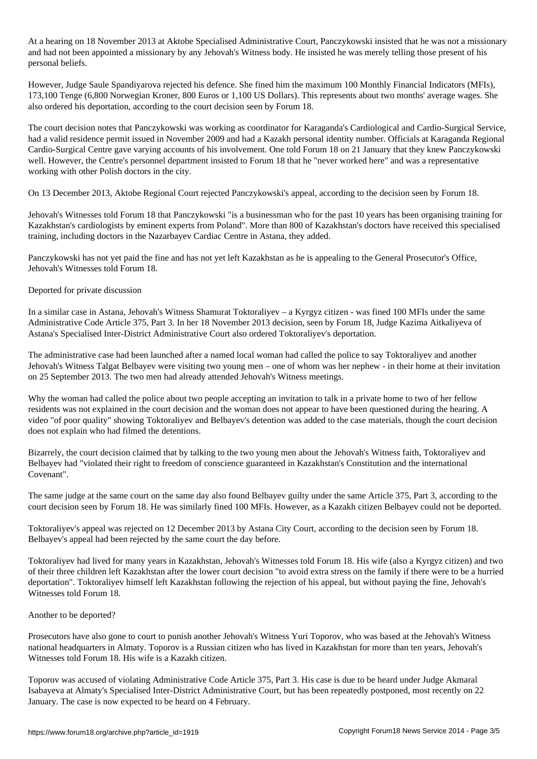At a hearing on 18 November 2013 at Aktobe Specialised Administrative Court, Panczykowski insisted that he was not a missionary and had not been appointed a missionary by any Jehovah's Witness body. He insisted he was merely telling those present of his personal beliefs.

However, Judge Saule Spandiyarova rejected his defence. She fined him the maximum 100 Monthly Financial Indicators (MFIs), 173,100 Tenge (6,800 Norwegian Kroner, 800 Euros or 1,100 US Dollars). This represents about two months' average wages. She also ordered his deportation, according to the court decision seen by Forum 18.

The court decision notes that Panczykowski was working as coordinator for Karaganda's Cardiological and Cardio-Surgical Service, had a valid residence permit issued in November 2009 and had a Kazakh personal identity number. Officials at Karaganda Regional Cardio-Surgical Centre gave varying accounts of his involvement. One told Forum 18 on 21 January that they knew Panczykowski well. However, the Centre's personnel department insisted to Forum 18 that he "never worked here" and was a representative working with other Polish doctors in the city.

On 13 December 2013, Aktobe Regional Court rejected Panczykowski's appeal, according to the decision seen by Forum 18.

Jehovah's Witnesses told Forum 18 that Panczykowski "is a businessman who for the past 10 years has been organising training for Kazakhstan's cardiologists by eminent experts from Poland". More than 800 of Kazakhstan's doctors have received this specialised training, including doctors in the Nazarbayev Cardiac Centre in Astana, they added.

Panczykowski has not yet paid the fine and has not yet left Kazakhstan as he is appealing to the General Prosecutor's Office, Jehovah's Witnesses told Forum 18.

#### Deported for private discussion

In a similar case in Astana, Jehovah's Witness Shamurat Toktoraliyev – a Kyrgyz citizen - was fined 100 MFIs under the same Administrative Code Article 375, Part 3. In her 18 November 2013 decision, seen by Forum 18, Judge Kazima Aitkaliyeva of Astana's Specialised Inter-District Administrative Court also ordered Toktoraliyev's deportation.

The administrative case had been launched after a named local woman had called the police to say Toktoraliyev and another Jehovah's Witness Talgat Belbayev were visiting two young men – one of whom was her nephew - in their home at their invitation on 25 September 2013. The two men had already attended Jehovah's Witness meetings.

Why the woman had called the police about two people accepting an invitation to talk in a private home to two of her fellow residents was not explained in the court decision and the woman does not appear to have been questioned during the hearing. A video "of poor quality" showing Toktoraliyev and Belbayev's detention was added to the case materials, though the court decision does not explain who had filmed the detentions.

Bizarrely, the court decision claimed that by talking to the two young men about the Jehovah's Witness faith, Toktoraliyev and Belbayev had "violated their right to freedom of conscience guaranteed in Kazakhstan's Constitution and the international Covenant".

The same judge at the same court on the same day also found Belbayev guilty under the same Article 375, Part 3, according to the court decision seen by Forum 18. He was similarly fined 100 MFIs. However, as a Kazakh citizen Belbayev could not be deported.

Toktoraliyev's appeal was rejected on 12 December 2013 by Astana City Court, according to the decision seen by Forum 18. Belbayev's appeal had been rejected by the same court the day before.

Toktoraliyev had lived for many years in Kazakhstan, Jehovah's Witnesses told Forum 18. His wife (also a Kyrgyz citizen) and two of their three children left Kazakhstan after the lower court decision "to avoid extra stress on the family if there were to be a hurried deportation". Toktoraliyev himself left Kazakhstan following the rejection of his appeal, but without paying the fine, Jehovah's Witnesses told Forum 18.

#### Another to be deported?

Prosecutors have also gone to court to punish another Jehovah's Witness Yuri Toporov, who was based at the Jehovah's Witness national headquarters in Almaty. Toporov is a Russian citizen who has lived in Kazakhstan for more than ten years, Jehovah's Witnesses told Forum 18. His wife is a Kazakh citizen.

Toporov was accused of violating Administrative Code Article 375, Part 3. His case is due to be heard under Judge Akmaral Isabayeva at Almaty's Specialised Inter-District Administrative Court, but has been repeatedly postponed, most recently on 22 January. The case is now expected to be heard on 4 February.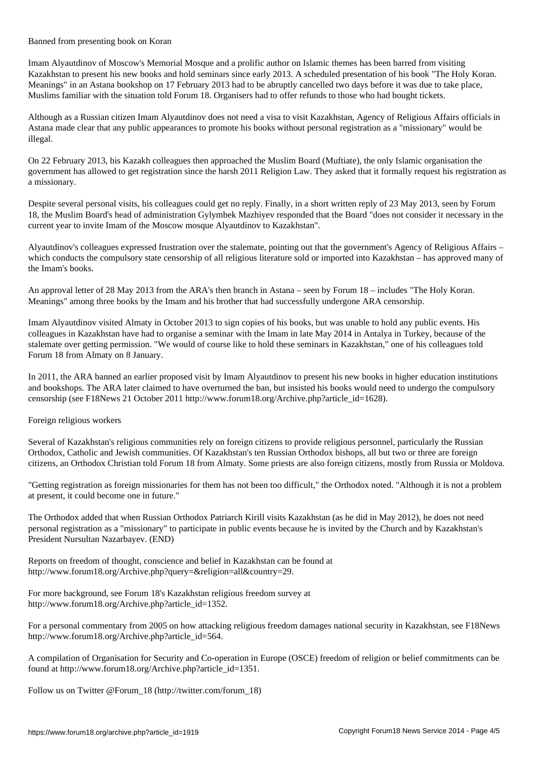Banned from presenting book on Koran

Imam Alyautdinov of Moscow's Memorial Mosque and a prolific author on Islamic themes has been barred from visiting Kazakhstan to present his new books and hold seminars since early 2013. A scheduled presentation of his book "The Holy Koran. Meanings" in an Astana bookshop on 17 February 2013 had to be abruptly cancelled two days before it was due to take place, Muslims familiar with the situation told Forum 18. Organisers had to offer refunds to those who had bought tickets.

Although as a Russian citizen Imam Alyautdinov does not need a visa to visit Kazakhstan, Agency of Religious Affairs officials in Astana made clear that any public appearances to promote his books without personal registration as a "missionary" would be illegal.

On 22 February 2013, his Kazakh colleagues then approached the Muslim Board (Muftiate), the only Islamic organisation the government has allowed to get registration since the harsh 2011 Religion Law. They asked that it formally request his registration as a missionary.

Despite several personal visits, his colleagues could get no reply. Finally, in a short written reply of 23 May 2013, seen by Forum 18, the Muslim Board's head of administration Gylymbek Mazhiyev responded that the Board "does not consider it necessary in the current year to invite Imam of the Moscow mosque Alyautdinov to Kazakhstan".

Alyautdinov's colleagues expressed frustration over the stalemate, pointing out that the government's Agency of Religious Affairs – which conducts the compulsory state censorship of all religious literature sold or imported into Kazakhstan – has approved many of the Imam's books.

An approval letter of 28 May 2013 from the ARA's then branch in Astana – seen by Forum 18 – includes "The Holy Koran. Meanings" among three books by the Imam and his brother that had successfully undergone ARA censorship.

Imam Alyautdinov visited Almaty in October 2013 to sign copies of his books, but was unable to hold any public events. His colleagues in Kazakhstan have had to organise a seminar with the Imam in late May 2014 in Antalya in Turkey, because of the stalemate over getting permission. "We would of course like to hold these seminars in Kazakhstan," one of his colleagues told Forum 18 from Almaty on 8 January.

In 2011, the ARA banned an earlier proposed visit by Imam Alyautdinov to present his new books in higher education institutions and bookshops. The ARA later claimed to have overturned the ban, but insisted his books would need to undergo the compulsory censorship (see F18News 21 October 2011 http://www.forum18.org/Archive.php?article\_id=1628).

Foreign religious workers

Several of Kazakhstan's religious communities rely on foreign citizens to provide religious personnel, particularly the Russian Orthodox, Catholic and Jewish communities. Of Kazakhstan's ten Russian Orthodox bishops, all but two or three are foreign citizens, an Orthodox Christian told Forum 18 from Almaty. Some priests are also foreign citizens, mostly from Russia or Moldova.

"Getting registration as foreign missionaries for them has not been too difficult," the Orthodox noted. "Although it is not a problem at present, it could become one in future."

The Orthodox added that when Russian Orthodox Patriarch Kirill visits Kazakhstan (as he did in May 2012), he does not need personal registration as a "missionary" to participate in public events because he is invited by the Church and by Kazakhstan's President Nursultan Nazarbayev. (END)

Reports on freedom of thought, conscience and belief in Kazakhstan can be found at http://www.forum18.org/Archive.php?query=&religion=all&country=29.

For more background, see Forum 18's Kazakhstan religious freedom survey at http://www.forum18.org/Archive.php?article\_id=1352.

For a personal commentary from 2005 on how attacking religious freedom damages national security in Kazakhstan, see F18News http://www.forum18.org/Archive.php?article\_id=564.

A compilation of Organisation for Security and Co-operation in Europe (OSCE) freedom of religion or belief commitments can be found at http://www.forum18.org/Archive.php?article\_id=1351.

Follow us on Twitter @Forum\_18 (http://twitter.com/forum\_18)